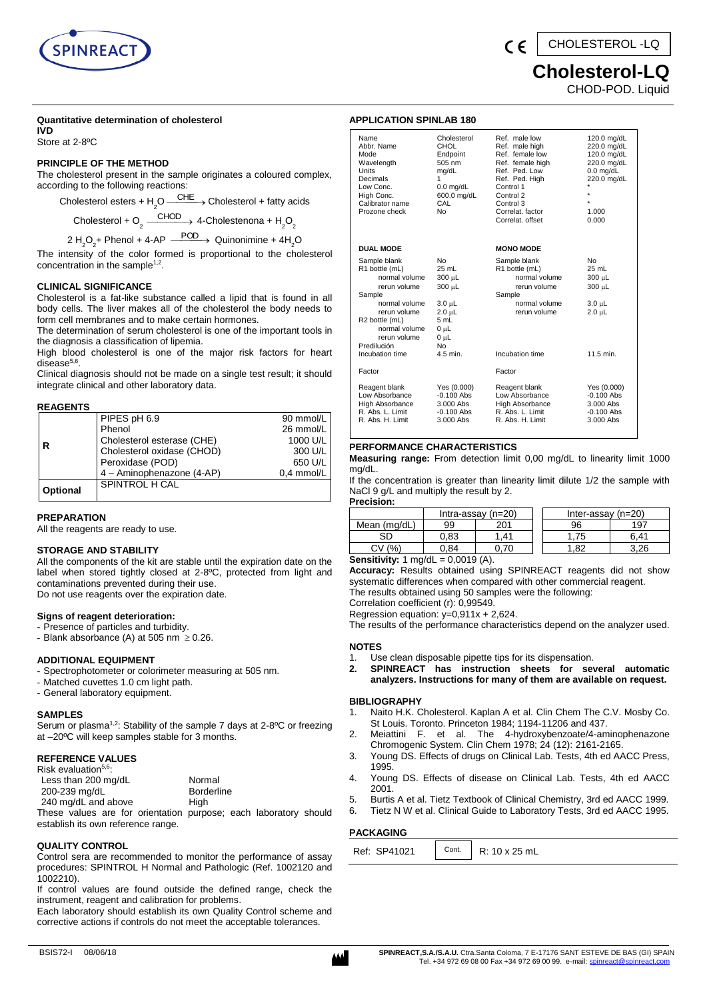

# **Cholesterol-LQ**

CHOD-POD. Liquid

#### **Quantitative determination of cholesterol**

**IVD** Store at 2-8ºC

#### **PRINCIPLE OF THE METHOD**

The cholesterol present in the sample originates a coloured complex, according to the following reactions:

Cholesterol esters + H<sub>2</sub>O  $\frac{\text{CHE}}{\text{O}}$   $\rightarrow$  Cholesterol + fatty acids

Cholesterol + O<sub>2</sub>  $\xrightarrow{\text{CHOD}}$  4-Cholestenona + H<sub>2</sub>O<sub>2</sub>

2 H<sub>2</sub>O<sub>2</sub>+ Phenol + 4-AP  $\xrightarrow{\text{POD}}$  Quinonimine + 4H<sub>2</sub>O

The intensity of the color formed is proportional to the cholesterol concentration in the sample<sup>1,2</sup>.

#### **CLINICAL SIGNIFICANCE**

Cholesterol is a fat-like substance called a lipid that is found in all body cells. The liver makes all of the cholesterol the body needs to form cell membranes and to make certain hormones.

The determination of serum cholesterol is one of the important tools in the diagnosis a classification of lipemia.

High blood cholesterol is one of the major risk factors for heart disease<sup>5,6</sup>.

Clinical diagnosis should not be made on a single test result; it should integrate clinical and other laboratory data.

#### **REAGENTS**

|          | PIPES pH 6.9               | 90 mmol/L  |
|----------|----------------------------|------------|
|          | Phenol                     | 26 mmol/L  |
| R        | Cholesterol esterase (CHE) | 1000 U/L   |
|          | Cholesterol oxidase (CHOD) | 300 U/L    |
|          | Peroxidase (POD)           | 650 U/L    |
|          | 4 - Aminophenazone (4-AP)  | 0.4 mmol/L |
| Optional | SPINTROL H CAL             |            |
|          |                            |            |

#### **PREPARATION**

All the reagents are ready to use.

### **STORAGE AND STABILITY**

All the components of the kit are stable until the expiration date on the label when stored tightly closed at 2-8ºC, protected from light and contaminations prevented during their use. Do not use reagents over the expiration date.

#### **Signs of reagent deterioration:**

- Presence of particles and turbidity.
- Blank absorbance (A) at 505 nm  $\geq$  0.26.

#### **ADDITIONAL EQUIPMENT**

- Spectrophotometer or colorimeter measuring at 505 nm.
- Matched cuvettes 1.0 cm light path.
- General laboratory equipment.

#### **SAMPLES**

Serum or plasma<sup>1,2</sup>: Stability of the sample 7 days at 2-8°C or freezing at –20ºC will keep samples stable for 3 months.

#### **REFERENCE VALUES**

| Risk evaluation <sup>5,6</sup> : |  |
|----------------------------------|--|
|----------------------------------|--|

| Less than 200 mg/dL | Normal                                                                                                                                                                                                                       |  |
|---------------------|------------------------------------------------------------------------------------------------------------------------------------------------------------------------------------------------------------------------------|--|
| 200-239 mg/dL       | <b>Borderline</b>                                                                                                                                                                                                            |  |
| 240 mg/dL and above | Hiah                                                                                                                                                                                                                         |  |
|                     | The second control of the control of the complete of the second the second state of the second state of the second state of the second state of the second state of the second state of the second state of the second state |  |

These values are for orientation purpose; each laboratory should establish its own reference range.

#### **QUALITY CONTROL**

Control sera are recommended to monitor the performance of assay procedures: SPINTROL H Normal and Pathologic (Ref. 1002120 and 1002210).

If control values are found outside the defined range, check the instrument, reagent and calibration for problems.

Each laboratory should establish its own Quality Control scheme and corrective actions if controls do not meet the acceptable tolerances.

| Name                   | Cholesterol      | Ref. male low    | 120.0 mg/dL  |
|------------------------|------------------|------------------|--------------|
| Abbr. Name             | <b>CHOL</b>      | Ref. male high   | 220.0 mg/dL  |
| Mode                   | Endpoint         | Ref. female low  | 120.0 mg/dL  |
| Wavelength             | 505 nm           | Ref. female high | 220.0 mg/dL  |
| Units                  | mg/dL            | Ref. Ped. Low    | $0.0$ mg/dL  |
| Decimals               |                  | Ref. Ped. High   | 220.0 mg/dL  |
| Low Conc.              | $0.0$ mg/dL      | Control 1        |              |
| High Conc.             | 600.0 mg/dL      | Control 2        |              |
| Calibrator name        | CAL              | Control 3        |              |
| Prozone check          | <b>No</b>        | Correlat. factor | 1.000        |
|                        |                  | Correlat, offset | 0.000        |
|                        |                  |                  |              |
| <b>DUAL MODE</b>       |                  | <b>MONO MODE</b> |              |
| Sample blank           | <b>No</b>        | Sample blank     | <b>No</b>    |
| R1 bottle (mL)         | 25 mL            | R1 bottle (mL)   | 25 mL        |
| normal volume          | 300 µL           | normal volume    | 300 µL       |
| rerun volume           | 300 µL           | rerun volume     | 300 µL       |
| Sample                 |                  | Sample           |              |
| normal volume          | $3.0 \mu L$      | normal volume    | $3.0 \mu L$  |
| rerun volume           | $2.0 \mu L$      | rerun volume     | $2.0 \mu L$  |
| R2 bottle (mL)         | 5 mL             |                  |              |
| normal volume          | 0 <sub>µ</sub> L |                  |              |
| rerun volume           | $0 \mu L$        |                  |              |
| Predilución            | <b>No</b>        |                  |              |
| Incubation time        | 4.5 min.         | Incubation time  | 11.5 min.    |
| Factor                 |                  | Factor           |              |
| Reagent blank          | Yes (0.000)      | Reagent blank    | Yes (0.000)  |
| Low Absorbance         | $-0.100$ Abs     | Low Absorbance   | $-0.100$ Abs |
| <b>High Absorbance</b> | 3.000 Abs        | High Absorbance  | 3.000 Abs    |
| R. Abs. L. Limit       | $-0.100$ Abs     | R. Abs. L. Limit | $-0.100$ Abs |

#### **PERFORMANCE CHARACTERISTICS**

**APPLICATION SPINLAB 180**

**Measuring range:** From detection limit 0,00 mg/dL to linearity limit 1000 mg/dL.

R. Abs. H. Limit

R. Abs. L. Limit -0.100 Abs - R. Abs. L. Limit -0.100 Abs<br>R. Abs. H. Limit - 3.000 Abs - R. Abs. H. Limit - 3.000 Abs

If the concentration is greater than linearity limit dilute 1/2 the sample with NaCl 9 g/L and multiply the result by 2. **Precision:**

|                               |          | Intra-assay $(n=20)$ | Inter-assay $(n=20)$ |      |
|-------------------------------|----------|----------------------|----------------------|------|
| Mean (mg/dL)                  | 99       | 201                  | 96                   | 197  |
| SГ                            | 0.83     | .41                  | 75                   | հ 41 |
| (%                            | 0.84     |                      | 82                   | 3.26 |
| .<br>$\overline{\phantom{a}}$ | $\cdots$ |                      |                      |      |

**Sensitivity:** 1 mg/dL = 0,0019 (A).

**Accuracy:** Results obtained using SPINREACT reagents did not show systematic differences when compared with other commercial reagent. The results obtained using 50 samples were the following:

Correlation coefficient (r): 0,99549.

Regression equation: y=0,911x + 2,624.

The results of the performance characteristics depend on the analyzer used.

#### **NOTES**

1. Use clean disposable pipette tips for its dispensation.

**2. SPINREACT has instruction sheets for several automatic analyzers. Instructions for many of them are available on request.**

#### **BIBLIOGRAPHY**

- 1. Naito H.K. Cholesterol. Kaplan A et al. Clin Chem The C.V. Mosby Co. St Louis. Toronto. Princeton 1984; 1194-11206 and 437.
- 2. Meiattini F. et al. The 4-hydroxybenzoate/4-aminophenazone Chromogenic System. Clin Chem 1978; 24 (12): 2161-2165.
- 3. Young DS. Effects of drugs on Clinical Lab. Tests, 4th ed AACC Press, 1995.
- 4. Young DS. Effects of disease on Clinical Lab. Tests, 4th ed AACC 2001.
- 5. Burtis A et al. Tietz Textbook of Clinical Chemistry, 3rd ed AACC 1999.
- 6. Tietz N W et al. Clinical Guide to Laboratory Tests, 3rd ed AACC 1995.

# **PACKAGING**

| Cont.<br>SP41021<br>Ref: 、 | D.<br>25 mL |
|----------------------------|-------------|
|----------------------------|-------------|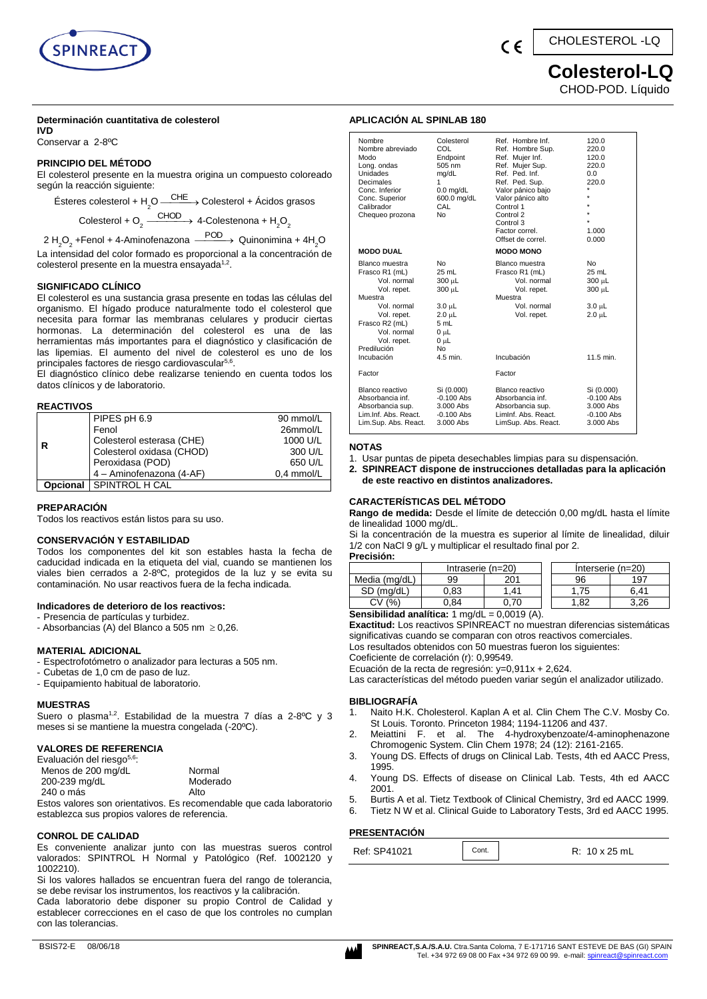

# **Colesterol-LQ** CHOD-POD. Líquido

#### **Determinación cuantitativa de colesterol**

**IVD** Conservar a 2-8ºC

#### **PRINCIPIO DEL MÉTODO**

El colesterol presente en la muestra origina un compuesto coloreado según la reacción siguiente:

Ésteres colesterol + H<sub>2</sub>O —<sup>CHE</sup>→ Colesterol + Ácidos grasos

Colesterol + O<sub>2</sub>  $\xrightarrow{\text{CHOD}}$  4-Colestenona + H<sub>2</sub>O<sub>2</sub>

2 H<sub>2</sub>O<sub>2</sub> +Fenol + 4-Aminofenazona  $\xrightarrow{\text{POD}}$  Quinonimina + 4H<sub>2</sub>O La intensidad del color formado es proporcional a la concentración de colesterol presente en la muestra ensayada<sup>1,2</sup>.

#### **SIGNIFICADO CLÍNICO**

El colesterol es una sustancia grasa presente en todas las células del organismo. El hígado produce naturalmente todo el colesterol que necesita para formar las membranas celulares y producir ciertas hormonas. La determinación del colesterol es una de las herramientas más importantes para el diagnóstico y clasificación de las lipemias. El aumento del nivel de colesterol es uno de los principales factores de riesgo cardiovascular<sup>5,6</sup>.

El diagnóstico clínico debe realizarse teniendo en cuenta todos los datos clínicos y de laboratorio.

#### **REACTIVOS**

|          | PIPES pH 6.9              | 90 mmol/L  |
|----------|---------------------------|------------|
|          | Fenol                     | 26mmol/L   |
|          | Colesterol esterasa (CHE) | 1000 U/L   |
|          | Colesterol oxidasa (CHOD) | 300 U/L    |
|          | Peroxidasa (POD)          | 650 U/L    |
|          | 4 - Aminofenazona (4-AF)  | 0.4 mmol/L |
| Opcional | I SPINTROL H CAL          |            |

#### **PREPARACIÓN**

Todos los reactivos están listos para su uso.

#### **CONSERVACIÓN Y ESTABILIDAD**

Todos los componentes del kit son estables hasta la fecha de caducidad indicada en la etiqueta del vial, cuando se mantienen los viales bien cerrados a 2-8ºC, protegidos de la luz y se evita su contaminación. No usar reactivos fuera de la fecha indicada.

#### **Indicadores de deterioro de los reactivos:**

- Presencia de partículas y turbidez.

- Absorbancias (A) del Blanco a 505 nm  $\geq$  0,26.

#### **MATERIAL ADICIONAL**

- Espectrofotómetro o analizador para lecturas a 505 nm.
- Cubetas de 1,0 cm de paso de luz.
- Equipamiento habitual de laboratorio.

#### **MUESTRAS**

Suero o plasma<sup>1,2</sup>. Estabilidad de la muestra 7 días a 2-8<sup>o</sup>C y 3 meses si se mantiene la muestra congelada (-20ºC).

#### **VALORES DE REFERENCIA**

| Evaluación del riesgo <sup>5,6</sup> : |                                                                  |
|----------------------------------------|------------------------------------------------------------------|
| Menos de 200 mg/dL                     | Normal                                                           |
| 200-239 mg/dL                          | Moderado                                                         |
| 240 o más                              | Alto                                                             |
|                                        | Estas valores son orientativos. Es recomendable que soda laborat |

le que cada laboratorio establezca sus propios valores de referencia.

#### **CONROL DE CALIDAD**

Es conveniente analizar junto con las muestras sueros control valorados: SPINTROL H Normal y Patológico (Ref. 1002120 y 1002210).

Si los valores hallados se encuentran fuera del rango de tolerancia, se debe revisar los instrumentos, los reactivos y la calibración.

Cada laboratorio debe disponer su propio Control de Calidad y establecer correcciones en el caso de que los controles no cumplan con las tolerancias.

#### **APLICACIÓN AL SPINLAB 180**

| Nombre<br>Nombre abreviado<br>Modo<br>Long. ondas<br>Unidades<br>Decimales<br>Conc. Inferior<br>Conc. Superior<br>Calibrador<br>Chequeo prozona                                      | Colesterol<br>COL<br>Endpoint<br>505 nm<br>mg/dL<br>1<br>$0.0$ mg/dL<br>600.0 mg/dL<br>CAL<br><b>No</b>        | Ref. Hombre Inf.<br>Ref. Hombre Sup.<br>Ref. Mujer Inf.<br>Ref. Mujer Sup.<br>Ref. Ped. Inf.<br>Ref. Ped. Sup.<br>Valor pánico bajo<br>Valor pánico alto<br>Control 1<br>Control 2<br>Control 3<br>Factor correl.<br>Offset de correl. | 120.0<br>220.0<br>120.0<br>220.0<br>0.0<br>220.0<br>٠<br>$\star$<br>÷<br>1.000<br>0.000 |
|--------------------------------------------------------------------------------------------------------------------------------------------------------------------------------------|----------------------------------------------------------------------------------------------------------------|----------------------------------------------------------------------------------------------------------------------------------------------------------------------------------------------------------------------------------------|-----------------------------------------------------------------------------------------|
| <b>MODO DUAL</b>                                                                                                                                                                     |                                                                                                                | <b>MODO MONO</b>                                                                                                                                                                                                                       |                                                                                         |
| Blanco muestra<br>Frasco R1 (mL)<br>Vol. normal<br>Vol. repet.<br>Muestra<br>Vol. normal<br>Vol. repet.<br>Frasco R2 (mL)<br>Vol. normal<br>Vol. repet.<br>Predilución<br>Incubación | No.<br>$25 \text{ mL}$<br>300 µL<br>300 µL<br>$3.0 \mu L$<br>2.0 µL<br>5 mL<br>0 սԼ<br>0 µL<br>No.<br>4.5 min. | Blanco muestra<br>Frasco R1 (mL)<br>Vol. normal<br>Vol. repet.<br>Muestra<br>Vol. normal<br>Vol. repet.<br>Incubación                                                                                                                  | No<br>$25$ mL<br>300 µL<br>300 µL<br>$3.0 \mu L$<br>$2.0 \mu L$<br>11.5 min.            |
| Factor                                                                                                                                                                               |                                                                                                                | Factor                                                                                                                                                                                                                                 |                                                                                         |
| Blanco reactivo<br>Absorbancia inf.<br>Absorbancia sup.<br>Lim.Inf. Abs. React.<br>Lim.Sup. Abs. React.                                                                              | Si (0.000)<br>$-0.100$ Abs<br>3.000 Abs<br>$-0.100$ Abs<br>3.000 Abs                                           | Blanco reactivo<br>Absorbancia inf.<br>Absorbancia sup.<br>Liminf. Abs. React.<br>LimSup. Abs. React.                                                                                                                                  | Si (0.000)<br>$-0.100$ Abs<br>3.000 Abs<br>$-0.100$ Abs<br>3.000 Abs                    |

#### **NOTAS**

- 1. Usar puntas de pipeta desechables limpias para su dispensación.
- **2. SPINREACT dispone de instrucciones detalladas para la aplicación de este reactivo en distintos analizadores.**

#### **CARACTERÍSTICAS DEL MÉTODO**

**Rango de medida:** Desde el límite de detección 0,00 mg/dL hasta el límite de linealidad 1000 mg/dL.

Si la concentración de la muestra es superior al límite de linealidad, diluir 1/2 con NaCl 9 g/L y multiplicar el resultado final por 2.

**Precisión:**

|                                                                | Intraserie $(n=20)$ |      |  | Interserie (n=20) |      |
|----------------------------------------------------------------|---------------------|------|--|-------------------|------|
| Media (mg/dL)                                                  | 99                  | 201  |  | 96                | 197  |
| SD (ma/dL)                                                     | 0,83                | 1.41 |  | 1.75              | 6.41 |
| CV(%)                                                          | 0.84                | 0.70 |  | 1.82              | 3.26 |
| <b>Sensibilidad analítica:</b> $1 \text{ mg/dL} = 0,0019$ (A). |                     |      |  |                   |      |

**Exactitud:** Los reactivos SPINREACT no muestran diferencias sistemáticas significativas cuando se comparan con otros reactivos comerciales.

Los resultados obtenidos con 50 muestras fueron los siguientes:

Coeficiente de correlación (r): 0,99549.

Ecuación de la recta de regresión: y=0,911x + 2,624. Las características del método pueden variar según el analizador utilizado.

#### **BIBLIOGRAFÍA**

- 1. Naito H.K. Cholesterol. Kaplan A et al. Clin Chem The C.V. Mosby Co. St Louis. Toronto. Princeton 1984; 1194-11206 and 437.
- 2. Meiattini F. et al. The 4-hydroxybenzoate/4-aminophenazone Chromogenic System. Clin Chem 1978; 24 (12): 2161-2165.
- 3. Young DS. Effects of drugs on Clinical Lab. Tests, 4th ed AACC Press, 1995.
- 4. Young DS. Effects of disease on Clinical Lab. Tests, 4th ed AACC 2001.
- 5. Burtis A et al. Tietz Textbook of Clinical Chemistry, 3rd ed AACC 1999.
- 6. Tietz N W et al. Clinical Guide to Laboratory Tests, 3rd ed AACC 1995.

# **PRESENTACIÓN**

|  | Ref: SP41021 | Cont. | $10 \times 25$ mL<br>R: |
|--|--------------|-------|-------------------------|
|--|--------------|-------|-------------------------|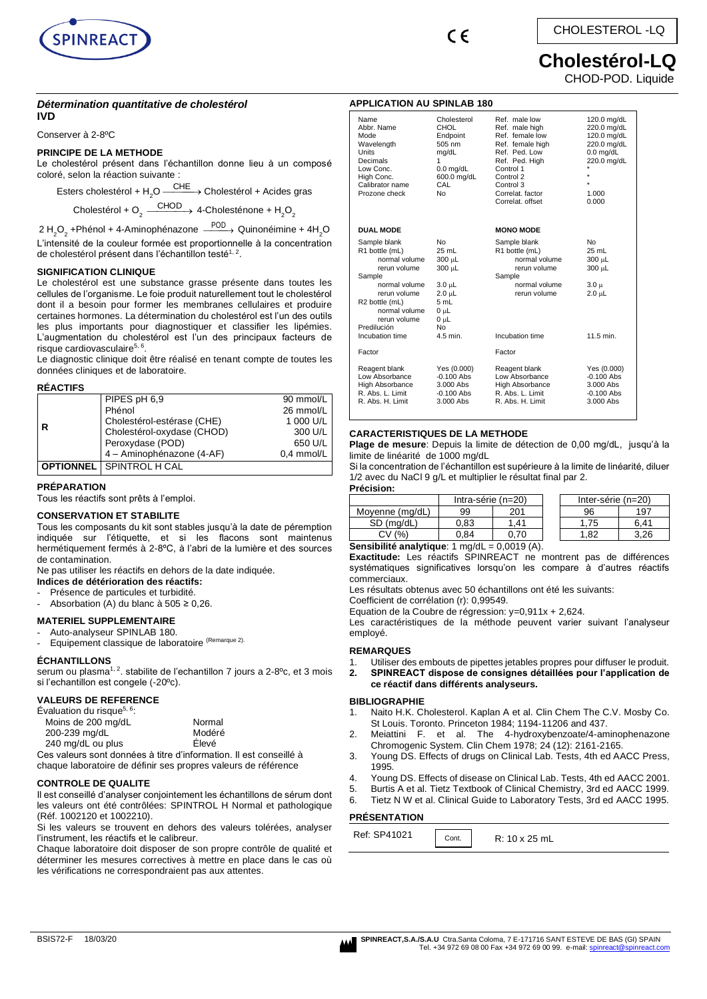



# CHOLESTEROL -LQ

# **Cholestérol-LQ**

CHOD-POD. Liquide

┓

#### *Détermination quantitative de cholestérol*  **IVD**

Conserver à 2-8ºC

#### **PRINCIPE DE LA METHODE**

Le cholestérol présent dans l'échantillon donne lieu à un composé coloré, selon la réaction suivante :

Esters cholestérol + H<sub>2</sub>O  $\frac{\text{CHE}}{\text{--}}$  Cholestérol + Acides gras

Cholestérol + O<sub>2</sub>  $\xrightarrow{\text{CHOD}}$  4-Cholesténone + H<sub>2</sub>O<sub>2</sub>

2 H<sub>2</sub>O<sub>2</sub> +Phénol + 4-Aminophénazone  $\stackrel{\mathsf{POD}}{\xrightarrow{\hspace*{0.5cm}}}$  Quinonéimine + 4H<sub>2</sub>O L'intensité de la couleur formée est proportionnelle à la concentration de cholestérol présent dans l'échantillon testé<sup>1, 2</sup>.

#### **SIGNIFICATION CLINIQUE**

Le cholestérol est une substance grasse présente dans toutes les cellules de l'organisme. Le foie produit naturellement tout le cholestérol dont il a besoin pour former les membranes cellulaires et produire certaines hormones. La détermination du cholestérol est l'un des outils les plus importants pour diagnostiquer et classifier les lipémies. L'augmentation du cholestérol est l'un des principaux facteurs de risque cardiovasculaire<sup>5, 6</sup>.

Le diagnostic clinique doit être réalisé en tenant compte de toutes les données cliniques et de laboratoire.

#### **RÉACTIFS**

|   | PIPES pH 6,9                    | 90 mmol/L  |
|---|---------------------------------|------------|
|   | Phénol                          | 26 mmol/L  |
|   | Cholestérol-estérase (CHE)      | 1 000 U/L  |
| R | Cholestérol-oxydase (CHOD)      | 300 U/L    |
|   | Peroxydase (POD)                | 650 U/L    |
|   | 4 - Aminophénazone (4-AF)       | 0.4 mmol/L |
|   | <b>OPTIONNEL</b> SPINTROL H CAL |            |

#### **PRÉPARATION**

Tous les réactifs sont prêts à l'emploi.

#### **CONSERVATION ET STABILITE**

Tous les composants du kit sont stables jusqu'à la date de péremption indiquée sur l'étiquette, et si les flacons sont maintenus hermétiquement fermés à 2-8ºC, à l'abri de la lumière et des sources de contamination.

Ne pas utiliser les réactifs en dehors de la date indiquée.

**Indices de détérioration des réactifs:** Présence de particules et turbidité.

Absorbation (A) du blanc à 505 ≥ 0,26.

#### **MATERIEL SUPPLEMENTAIRE**

Auto-analyseur SPINLAB 180.

Equipement classique de laboratoire (Remarque 2).

#### **ÉCHANTILLONS**

serum ou plasma<sup>1, 2</sup>. stabilite de l'echantillon 7 jours a 2-8<sup>o</sup>c, et 3 mois si l'echantillon est congele (-20ºc).

## **VALEURS DE REFERENCE**

| Évaluation du risque <sup>5, 6</sup> : |        |  |
|----------------------------------------|--------|--|
| Moins de 200 mg/dL                     | Normal |  |
| 200-239 mg/dL                          | Modéré |  |
| 240 mg/dL ou plus                      | Élevé  |  |

Ces valeurs sont données à titre d'information. Il est conseillé à chaque laboratoire de définir ses propres valeurs de référence

#### **CONTROLE DE QUALITE**

Il est conseillé d'analyser conjointement les échantillons de sérum dont les valeurs ont été contrôlées: SPINTROL H Normal et pathologique (Réf. 1002120 et 1002210).

Si les valeurs se trouvent en dehors des valeurs tolérées, analyser l'instrument, les réactifs et le calibreur.

Chaque laboratoire doit disposer de son propre contrôle de qualité et déterminer les mesures correctives à mettre en place dans le cas où les vérifications ne correspondraient pas aux attentes.

| <b>APPLICATION AU SPINLAB 180</b>                                                                                                                                                               |                                                                                                                            |                                                                                                                                                                                          |                                                                                                                                |  |  |
|-------------------------------------------------------------------------------------------------------------------------------------------------------------------------------------------------|----------------------------------------------------------------------------------------------------------------------------|------------------------------------------------------------------------------------------------------------------------------------------------------------------------------------------|--------------------------------------------------------------------------------------------------------------------------------|--|--|
| Name<br>Abbr. Name<br>Mode<br>Wavelength<br><b>Units</b><br>Decimals<br>Low Conc.<br>High Conc.<br>Calibrator name<br>Prozone check                                                             | Cholesterol<br>CHOL<br>Endpoint<br>$505 \text{ nm}$<br>mg/dL<br>1<br>$0.0$ mg/dL<br>600.0 mg/dL<br>CAL<br>No.              | Ref. male low<br>Ref. male high<br>Ref. female low<br>Ref. female high<br>Ref. Ped. Low<br>Ref. Ped. High<br>Control 1<br>Control 2<br>Control 3<br>Correlat, factor<br>Correlat, offset | 120.0 mg/dL<br>220.0 mg/dL<br>120.0 mg/dL<br>220.0 mg/dL<br>$0.0$ mg/dL<br>220.0 mg/dL<br>$\star$<br>$\star$<br>1.000<br>0.000 |  |  |
| <b>DUAL MODE</b>                                                                                                                                                                                |                                                                                                                            | <b>MONO MODE</b>                                                                                                                                                                         |                                                                                                                                |  |  |
| Sample blank<br>R1 bottle (mL)<br>normal volume<br>rerun volume<br>Sample<br>normal volume<br>rerun volume<br>R2 bottle (mL)<br>normal volume<br>rerun volume<br>Predilución<br>Incubation time | N <sub>0</sub><br>25 mL<br>300 µL<br>300 µL<br>3.0 µL<br>$2.0 \mu L$<br>5 mL<br>0 սԼ<br>0 <sub>u</sub> L<br>No<br>4.5 min. | Sample blank<br>R1 bottle (mL)<br>normal volume<br>rerun volume<br>Sample<br>normal volume<br>rerun volume<br>Incubation time                                                            | No<br>25 mL<br>300 µL<br>300 µL<br>$3.0 \mu$<br>$2.0 \mu L$<br>11.5 min.                                                       |  |  |
| Factor                                                                                                                                                                                          |                                                                                                                            | Factor                                                                                                                                                                                   |                                                                                                                                |  |  |
| Reagent blank<br>Low Absorbance<br><b>High Absorbance</b><br>R. Abs. L. Limit<br>R. Abs. H. Limit                                                                                               | Yes (0.000)<br>$-0.100$ Abs<br>3.000 Abs<br>$-0.100$ Abs<br>3.000 Abs                                                      | Reagent blank<br>Low Absorbance<br><b>High Absorbance</b><br>R. Abs. L. Limit<br>R. Abs. H. Limit                                                                                        | Yes (0.000)<br>$-0.100$ Abs<br>3.000 Abs<br>$-0.100$ Abs<br>$3.000$ Abs                                                        |  |  |

#### **CARACTERISTIQUES DE LA METHODE**

**Plage de mesure**: Depuis la limite de détection de 0,00 mg/dL, jusqu'à la limite de linéarité de 1000 mg/dL

Si la concentration de l'échantillon est supérieure à la limite de linéarité, diluer 1/2 avec du NaCl 9 g/L et multiplier le résultat final par 2.

**Précision:** Intra-série (n=20) Inter-série (n=20)

| Moyenne (mg/dL)                                 | 99   | 201  |  | 96   | 197  |
|-------------------------------------------------|------|------|--|------|------|
| SD (ma/dL)                                      | 0.83 | .41  |  | .75  | 6.41 |
| (% )<br>СV                                      | 0.84 | 0.70 |  | 1.82 | 3.26 |
| $= 0.0019(A)$<br>Sensibilité analytique 1 mo/dl |      |      |  |      |      |

**Sensibilité analytique**: 1 mg/dL = 0,0019 (A).

**Exactitude:** Les réactifs SPINREACT ne montrent pas de différences systématiques significatives lorsqu'on les compare à d'autres réactifs commerciaux.

Les résultats obtenus avec 50 échantillons ont été les suivants:

Coefficient de corrélation (r): 0,99549.

Equation de la Coubre de régression: y=0,911x + 2,624.

Les caractéristiques de la méthode peuvent varier suivant l'analyseur employé.

#### **REMARQUES**

- Utiliser des embouts de pipettes jetables propres pour diffuser le produit.
- **2. SPINREACT dispose de consignes détaillées pour l'application de ce réactif dans différents analyseurs.**

#### **BIBLIOGRAPHIE**

- 1. Naito H.K. Cholesterol. Kaplan A et al. Clin Chem The C.V. Mosby Co. St Louis. Toronto. Princeton 1984; 1194-11206 and 437.
- 2. Meiattini F. et al. The 4-hydroxybenzoate/4-aminophenazone Chromogenic System. Clin Chem 1978; 24 (12): 2161-2165.
- 3. Young DS. Effects of drugs on Clinical Lab. Tests, 4th ed AACC Press, 1995.
- 4. Young DS. Effects of disease on Clinical Lab. Tests, 4th ed AACC 2001.
- 5. Burtis A et al. Tietz Textbook of Clinical Chemistry, 3rd ed AACC 1999.
- 6. Tietz N W et al. Clinical Guide to Laboratory Tests, 3rd ed AACC 1995.

#### **PRÉSENTATION**

| Ref: SP41021 | Cont. | R: 10 x 25 mL |
|--------------|-------|---------------|
|--------------|-------|---------------|